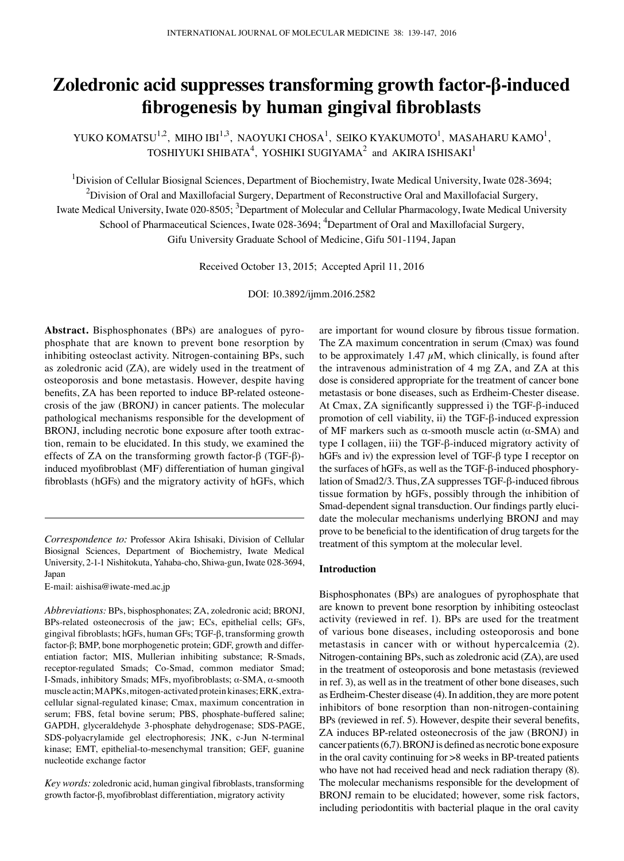# **Zoledronic acid suppresses transforming growth factor-β-induced fibrogenesis by human gingival fibroblasts**

YUKO KOMATSU $^{1,2}$ , MIHO IBI $^{1,3}$ , NAOYUKI CHOSA $^{1}$ , SEIKO KYAKUMOTO $^{1}$ , MASAHARU KAMO $^{1}$ , TOSHIYUKI SHIBATA $^4$ , YOSHIKI SUGIYAMA $^2$  and AKIRA ISHISAKI $^1$ 

<sup>1</sup>Division of Cellular Biosignal Sciences, Department of Biochemistry, Iwate Medical University, Iwate 028-3694;  $^2$ Division of Oral and Maxillofacial Surgery, Department of Reconstructive Oral and Maxillofacial Surgery, Iwate Medical University, Iwate 020-8505; <sup>3</sup>Department of Molecular and Cellular Pharmacology, Iwate Medical University School of Pharmaceutical Sciences, Iwate 028-3694; <sup>4</sup>Department of Oral and Maxillofacial Surgery, Gifu University Graduate School of Medicine, Gifu 501-1194, Japan

Received October 13, 2015; Accepted April 11, 2016

DOI: 10.3892/ijmm.2016.2582

**Abstract.** Bisphosphonates (BPs) are analogues of pyrophosphate that are known to prevent bone resorption by inhibiting osteoclast activity. Nitrogen-containing BPs, such as zoledronic acid (ZA), are widely used in the treatment of osteoporosis and bone metastasis. However, despite having benefits, ZA has been reported to induce BP-related osteonecrosis of the jaw (BRONJ) in cancer patients. The molecular pathological mechanisms responsible for the development of BRONJ, including necrotic bone exposure after tooth extraction, remain to be elucidated. In this study, we examined the effects of ZA on the transforming growth factor-β (TGF-β) induced myofibroblast (MF) differentiation of human gingival fibroblasts (hGFs) and the migratory activity of hGFs, which

*Correspondence to:* Professor Akira Ishisaki, Division of Cellular Biosignal Sciences, Department of Biochemistry, Iwate Medical University, 2-1-1 Nishitokuta, Yahaba-cho, Shiwa-gun, Iwate 028-3694, Japan

E-mail: aishisa@iwate-med.ac.jp

*Abbreviations:* BPs, bisphosphonates; ZA, zoledronic acid; BRONJ, BPs-related osteonecrosis of the jaw; ECs, epithelial cells; GFs, gingival fibroblasts; hGFs, human GFs; TGF-β, transforming growth factor-β; BMP, bone morphogenetic protein; GDF, growth and differentiation factor; MIS, Mullerian inhibiting substance; R-Smads, receptor-regulated Smads; Co-Smad, common mediator Smad; I-Smads, inhibitory Smads; MFs, myofibroblasts; α-SMA, α-smooth muscle actin; MAPKs, mitogen-activated protein kinases; ERK, extracellular signal-regulated kinase; Cmax, maximum concentration in serum; FBS, fetal bovine serum; PBS, phosphate-buffered saline; GAPDH, glyceraldehyde 3-phosphate dehydrogenase; SDS-PAGE, SDS-polyacrylamide gel electrophoresis; JNK, c-Jun N-terminal kinase; EMT, epithelial-to-mesenchymal transition; GEF, guanine nucleotide exchange factor

*Key words:* zoledronic acid, human gingival fibroblasts, transforming growth factor-β, myofibroblast differentiation, migratory activity

are important for wound closure by fibrous tissue formation. The ZA maximum concentration in serum (Cmax) was found to be approximately 1.47  $\mu$ M, which clinically, is found after the intravenous administration of 4 mg ZA, and ZA at this dose is considered appropriate for the treatment of cancer bone metastasis or bone diseases, such as Erdheim-Chester disease. At Cmax, ZA significantly suppressed i) the TGF‑β-induced promotion of cell viability, ii) the TGF-β-induced expression of MF markers such as  $\alpha$ -smooth muscle actin ( $\alpha$ -SMA) and type I collagen, iii) the TGF-β-induced migratory activity of hGFs and iv) the expression level of TGF-β type I receptor on the surfaces of hGFs, as well as the TGF-β-induced phosphorylation of Smad2/3. Thus, ZA suppresses TGF-β-induced fibrous tissue formation by hGFs, possibly through the inhibition of Smad-dependent signal transduction. Our findings partly elucidate the molecular mechanisms underlying BRONJ and may prove to be beneficial to the identification of drug targets for the treatment of this symptom at the molecular level.

# **Introduction**

Bisphosphonates (BPs) are analogues of pyrophosphate that are known to prevent bone resorption by inhibiting osteoclast activity (reviewed in ref. 1). BPs are used for the treatment of various bone diseases, including osteoporosis and bone metastasis in cancer with or without hypercalcemia (2). Nitrogen-containing BPs, such as zoledronic acid (ZA), are used in the treatment of osteoporosis and bone metastasis (reviewed in ref. 3), as well as in the treatment of other bone diseases, such as Erdheim-Chester disease (4). In addition, they are more potent inhibitors of bone resorption than non-nitrogen-containing BPs (reviewed in ref. 5). However, despite their several benefits, ZA induces BP-related osteonecrosis of the jaw (BRONJ) in cancer patients(6,7). BRONJ is defined as necrotic bone exposure in the oral cavity continuing for >8 weeks in BP-treated patients who have not had received head and neck radiation therapy (8). The molecular mechanisms responsible for the development of BRONJ remain to be elucidated; however, some risk factors, including periodontitis with bacterial plaque in the oral cavity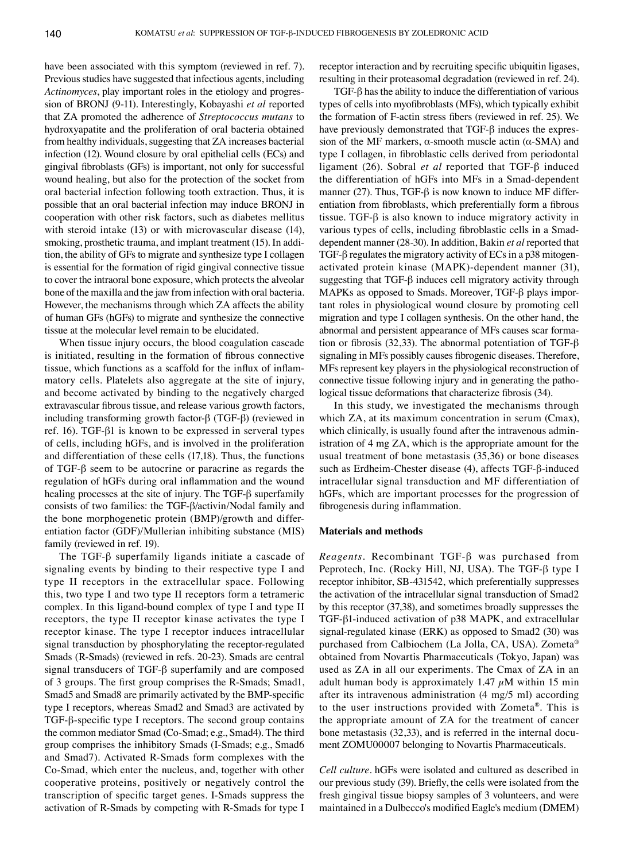have been associated with this symptom (reviewed in ref. 7). Previous studies have suggested that infectious agents, including *Actinomyces*, play important roles in the etiology and progression of BRONJ (9-11). Interestingly, Kobayashi *et al* reported that ZA promoted the adherence of *Streptococcus mutans* to hydroxyapatite and the proliferation of oral bacteria obtained from healthy individuals, suggesting that ZA increases bacterial infection (12). Wound closure by oral epithelial cells (ECs) and gingival fibroblasts (GFs) is important, not only for successful wound healing, but also for the protection of the socket from oral bacterial infection following tooth extraction. Thus, it is possible that an oral bacterial infection may induce BRONJ in cooperation with other risk factors, such as diabetes mellitus with steroid intake (13) or with microvascular disease (14), smoking, prosthetic trauma, and implant treatment (15). In addition, the ability of GFs to migrate and synthesize type I collagen is essential for the formation of rigid gingival connective tissue to cover the intraoral bone exposure, which protects the alveolar bone of the maxilla and the jaw from infection with oral bacteria. However, the mechanisms through which ZA affects the ability of human GFs (hGFs) to migrate and synthesize the connective tissue at the molecular level remain to be elucidated.

When tissue injury occurs, the blood coagulation cascade is initiated, resulting in the formation of fibrous connective tissue, which functions as a scaffold for the influx of inflammatory cells. Platelets also aggregate at the site of injury, and become activated by binding to the negatively charged extravascular fibrous tissue, and release various growth factors, including transforming growth factor-β (TGF-β) (reviewed in ref. 16). TGF-β1 is known to be expressed in serveral types of cells, including hGFs, and is involved in the proliferation and differentiation of these cells (17,18). Thus, the functions of TGF-β seem to be autocrine or paracrine as regards the regulation of hGFs during oral inflammation and the wound healing processes at the site of injury. The TGF-β superfamily consists of two families: the TGF-β/activin/Nodal family and the bone morphogenetic protein (BMP)/growth and differentiation factor (GDF)/Mullerian inhibiting substance (MIS) family (reviewed in ref. 19).

The TGF-β superfamily ligands initiate a cascade of signaling events by binding to their respective type I and type II receptors in the extracellular space. Following this, two type I and two type II receptors form a tetrameric complex. In this ligand-bound complex of type I and type II receptors, the type II receptor kinase activates the type I receptor kinase. The type I receptor induces intracellular signal transduction by phosphorylating the receptor-regulated Smads (R-Smads) (reviewed in refs. 20-23). Smads are central signal transducers of TGF-β superfamily and are composed of 3 groups. The first group comprises the R-Smads; Smad1, Smad5 and Smad8 are primarily activated by the BMP-specific type I receptors, whereas Smad2 and Smad3 are activated by TGF-β-specific type I receptors. The second group contains the common mediator Smad (Co-Smad; e.g., Smad4). The third group comprises the inhibitory Smads (I-Smads; e.g., Smad6 and Smad7). Activated R-Smads form complexes with the Co-Smad, which enter the nucleus, and, together with other cooperative proteins, positively or negatively control the transcription of specific target genes. I-Smads suppress the activation of R-Smads by competing with R-Smads for type I receptor interaction and by recruiting specific ubiquitin ligases, resulting in their proteasomal degradation (reviewed in ref. 24).

TGF-β has the ability to induce the differentiation of various types of cells into myofibroblasts (MFs), which typically exhibit the formation of F-actin stress fibers (reviewed in ref. 25). We have previously demonstrated that TGF-β induces the expression of the MF markers,  $α$ -smooth muscle actin  $(α$ -SMA) and type I collagen, in fibroblastic cells derived from periodontal ligament (26). Sobral *et al* reported that TGF-β induced the differentiation of hGFs into MFs in a Smad-dependent manner (27). Thus, TGF- $\beta$  is now known to induce MF differentiation from fibroblasts, which preferentially form a fibrous tissue. TGF-β is also known to induce migratory activity in various types of cells, including fibroblastic cells in a Smaddependent manner (28-30). In addition, Bakin *et al* reported that TGF-β regulates the migratory activity of ECs in a p38 mitogenactivated protein kinase (MAPK)-dependent manner (31), suggesting that TGF-β induces cell migratory activity through MAPKs as opposed to Smads. Moreover, TGF-β plays important roles in physiological wound closure by promoting cell migration and type I collagen synthesis. On the other hand, the abnormal and persistent appearance of MFs causes scar formation or fibrosis (32,33). The abnormal potentiation of TGF- $\beta$ signaling in MFs possibly causes fibrogenic diseases. Therefore, MFs represent key players in the physiological reconstruction of connective tissue following injury and in generating the pathological tissue deformations that characterize fibrosis (34).

In this study, we investigated the mechanisms through which ZA, at its maximum concentration in serum (Cmax), which clinically, is usually found after the intravenous administration of 4 mg ZA, which is the appropriate amount for the usual treatment of bone metastasis (35,36) or bone diseases such as Erdheim-Chester disease (4), affects TGF-β-induced intracellular signal transduction and MF differentiation of hGFs, which are important processes for the progression of fibrogenesis during inflammation.

### **Materials and methods**

*Reagents.* Recombinant TGF-β was purchased from Peprotech, Inc. (Rocky Hill, NJ, USA). The TGF-β type I receptor inhibitor, SB-431542, which preferentially suppresses the activation of the intracellular signal transduction of Smad2 by this receptor (37,38), and sometimes broadly suppresses the TGF-β1-induced activation of p38 MAPK, and extracellular signal-regulated kinase (ERK) as opposed to Smad2 (30) was purchased from Calbiochem (La Jolla, CA, USA). Zometa® obtained from Novartis Pharmaceuticals (Tokyo, Japan) was used as ZA in all our experiments. The Cmax of ZA in an adult human body is approximately 1.47  $\mu$ M within 15 min after its intravenous administration (4 mg/5 ml) according to the user instructions provided with Zometa®. This is the appropriate amount of ZA for the treatment of cancer bone metastasis (32,33), and is referred in the internal document ZOMU00007 belonging to Novartis Pharmaceuticals.

*Cell culture.* hGFs were isolated and cultured as described in our previous study (39). Briefly, the cells were isolated from the fresh gingival tissue biopsy samples of 3 volunteers, and were maintained in a Dulbecco's modified Eagle's medium (DMEM)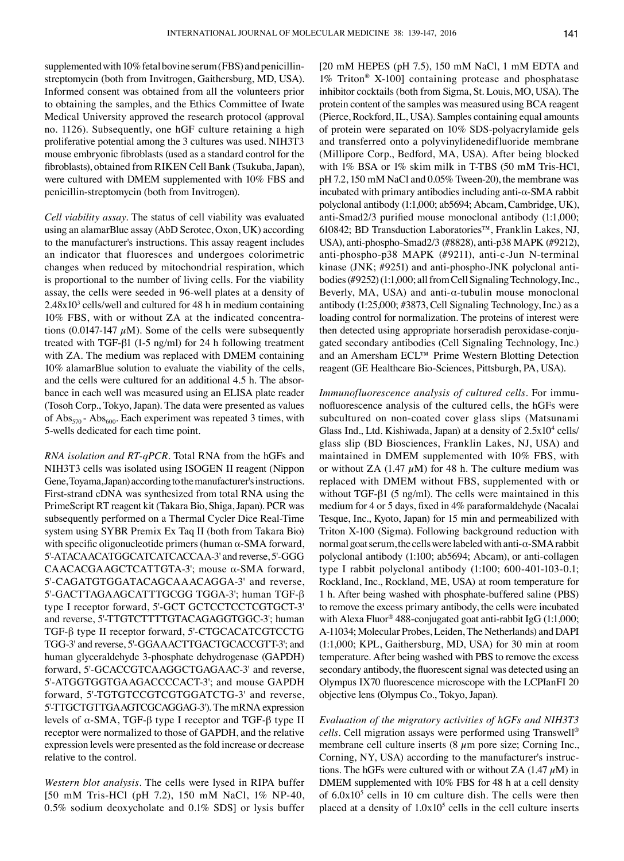supplemented with 10% fetal bovine serum (FBS) and penicillinstreptomycin (both from Invitrogen, Gaithersburg, MD, USA). Informed consent was obtained from all the volunteers prior to obtaining the samples, and the Ethics Committee of Iwate Medical University approved the research protocol (approval no. 1126). Subsequently, one hGF culture retaining a high proliferative potential among the 3 cultures was used. NIH3T3 mouse embryonic fibroblasts (used as a standard control for the fibroblasts), obtained from RIKEN Cell Bank (Tsukuba, Japan), were cultured with DMEM supplemented with 10% FBS and penicillin-streptomycin (both from Invitrogen).

*Cell viability assay.* The status of cell viability was evaluated using an alamarBlue assay (AbD Serotec, Oxon, UK) according to the manufacturer's instructions. This assay reagent includes an indicator that fluoresces and undergoes colorimetric changes when reduced by mitochondrial respiration, which is proportional to the number of living cells. For the viability assay, the cells were seeded in 96-well plates at a density of  $2.48x10<sup>3</sup>$  cells/well and cultured for 48 h in medium containing 10% FBS, with or without ZA at the indicated concentrations (0.0147-147  $\mu$ M). Some of the cells were subsequently treated with TGF-β1 (1-5 ng/ml) for 24 h following treatment with ZA. The medium was replaced with DMEM containing 10% alamarBlue solution to evaluate the viability of the cells, and the cells were cultured for an additional 4.5 h. The absorbance in each well was measured using an ELISA plate reader (Tosoh Corp., Tokyo, Japan). The data were presented as values of  $Abs_{570}$  -  $Abs_{600}$ . Each experiment was repeated 3 times, with 5-wells dedicated for each time point.

*RNA isolation and RT-qPCR.* Total RNA from the hGFs and NIH3T3 cells was isolated using ISOGEN II reagent (Nippon Gene, Toyama, Japan) according to the manufacturer's instructions. First-strand cDNA was synthesized from total RNA using the PrimeScript RT reagent kit (Takara Bio, Shiga, Japan). PCR was subsequently performed on a Thermal Cycler Dice Real-Time system using SYBR Premix Ex Taq II (both from Takara Bio) with specific oligonucleotide primers (human  $\alpha$ -SMA forward, 5'-ATACAACATGGCATCATCACCAA-3' and reverse, 5'-GGG CAACACGAAGCTCATTGTA-3'; mouse α-SMA forward, 5'-CAGATGTGGATACAGCAAACAGGA-3' and reverse, 5'-GACTTAGAAGCATTTGCGG TGGA-3'; human TGF-β type I receptor forward, 5'-GCT GCTCCTCCTCGTGCT-3' and reverse, 5'-TTGTCTTTTGTACAGAGGTGGC-3'; human TGF-β type II receptor forward, 5'-CTGCACATCGTCCTG TGG-3' and reverse, 5'-GGAAACTTGACTGCACCGTT-3'; and human glyceraldehyde 3-phosphate dehydrogenase (GAPDH) forward, 5'-GCACCGTCAAGGCTGAGAAC-3' and reverse, 5'-ATGGTGGTGAAGACCCCACT-3'; and mouse GAPDH forward, 5'-TGTGTCCGTCGTGGATCTG-3' and reverse, 5'-TTGCTGTTGAAGTCGCAGGAG-3'). The mRNA expression levels of α-SMA, TGF-β type I receptor and TGF-β type II receptor were normalized to those of GAPDH, and the relative expression levels were presented as the fold increase or decrease relative to the control.

*Western blot analysis.* The cells were lysed in RIPA buffer [50 mM Tris-HCl (pH 7.2), 150 mM NaCl, 1% NP-40, 0.5% sodium deoxycholate and 0.1% SDS] or lysis buffer [20 mM HEPES (pH 7.5), 150 mM NaCl, 1 mM EDTA and 1% Triton® X-100] containing protease and phosphatase inhibitor cocktails (both from Sigma, St. Louis, MO, USA). The protein content of the samples was measured using BCA reagent (Pierce, Rockford, IL, USA). Samples containing equal amounts of protein were separated on 10% SDS-polyacrylamide gels and transferred onto a polyvinylidenedifluoride membrane (Millipore Corp., Bedford, MA, USA). After being blocked with 1% BSA or 1% skim milk in T-TBS (50 mM Tris-HCl, pH 7.2, 150 mM NaCl and 0.05% Tween-20), the membrane was incubated with primary antibodies including anti-α-SMA rabbit polyclonal antibody (1:1,000; ab5694; Abcam, Cambridge, UK), anti-Smad2/3 purified mouse monoclonal antibody (1:1,000; 610842; BD Transduction Laboratories™, Franklin Lakes, NJ, USA), anti-phospho-Smad2/3 (#8828), anti-p38 MAPK (#9212), anti-phospho-p38 MAPK (#9211), anti-c-Jun N-terminal kinase (JNK; #9251) and anti-phospho-JNK polyclonal antibodies (#9252)(1:1,000; all from Cell Signaling Technology,Inc., Beverly, MA, USA) and anti- $\alpha$ -tubulin mouse monoclonal antibody (1:25,000; #3873, Cell Signaling Technology, Inc.) as a loading control for normalization. The proteins of interest were then detected using appropriate horseradish peroxidase-conjugated secondary antibodies (Cell Signaling Technology, Inc.) and an Amersham ECL™ Prime Western Blotting Detection reagent (GE Healthcare Bio-Sciences, Pittsburgh, PA, USA).

*Immunofluorescence analysis of cultured cells.* For immunofluorescence analysis of the cultured cells, the hGFs were subcultured on non-coated cover glass slips (Matsunami Glass Ind., Ltd. Kishiwada, Japan) at a density of  $2.5x10^4$  cells/ glass slip (BD Biosciences, Franklin Lakes, NJ, USA) and maintained in DMEM supplemented with 10% FBS, with or without ZA (1.47  $\mu$ M) for 48 h. The culture medium was replaced with DMEM without FBS, supplemented with or without TGF-β1 (5 ng/ml). The cells were maintained in this medium for 4 or 5 days, fixed in 4% paraformaldehyde (Nacalai Tesque, Inc., Kyoto, Japan) for 15 min and permeabilized with Triton X-100 (Sigma). Following background reduction with normal goat serum, the cells were labeled with anti-α-SMA rabbit polyclonal antibody (1:100; ab5694; Abcam), or anti-collagen type I rabbit polyclonal antibody (1:100; 600-401-103-0.1; Rockland, Inc., Rockland, ME, USA) at room temperature for 1 h. After being washed with phosphate-buffered saline (PBS) to remove the excess primary antibody, the cells were incubated with Alexa Fluor® 488-conjugated goat anti-rabbit IgG (1:1,000; A-11034; Molecular Probes, Leiden, The Netherlands) and DAPI (1:1,000; KPL, Gaithersburg, MD, USA) for 30 min at room temperature. After being washed with PBS to remove the excess secondary antibody, the fluorescent signal was detected using an Olympus IX70 fluorescence microscope with the LCPIanFI 20 objective lens (Olympus Co., Tokyo, Japan).

*Evaluation of the migratory activities of hGFs and NIH3T3 cells.* Cell migration assays were performed using Transwell® membrane cell culture inserts  $(8 \mu m)$  pore size; Corning Inc., Corning, NY, USA) according to the manufacturer's instructions. The hGFs were cultured with or without ZA  $(1.47 \mu M)$  in DMEM supplemented with 10% FBS for 48 h at a cell density of  $6.0x10<sup>5</sup>$  cells in 10 cm culture dish. The cells were then placed at a density of  $1.0x10<sup>5</sup>$  cells in the cell culture inserts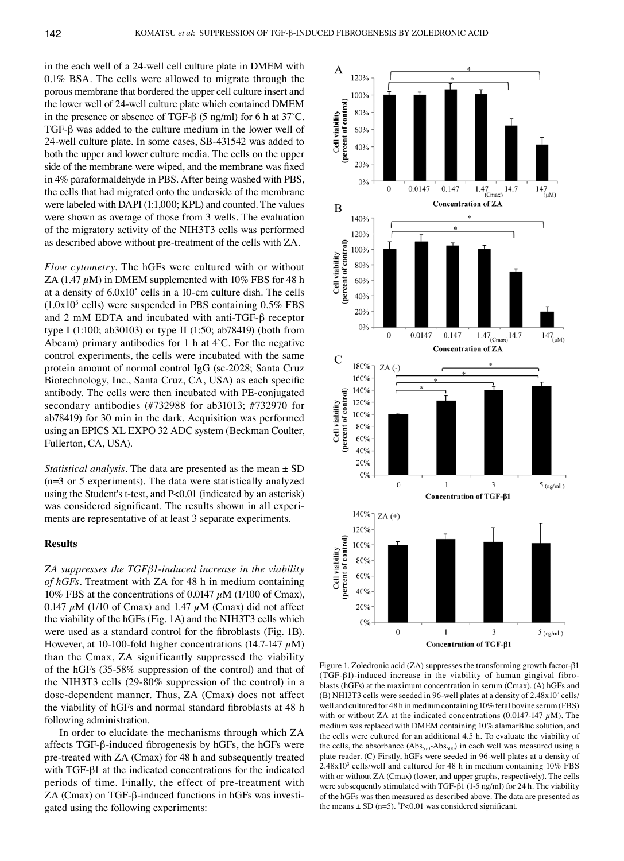in the each well of a 24-well cell culture plate in DMEM with 0.1% BSA. The cells were allowed to migrate through the porous membrane that bordered the upper cell culture insert and the lower well of 24-well culture plate which contained DMEM in the presence or absence of TGF- $\beta$  (5 ng/ml) for 6 h at 37°C. TGF-β was added to the culture medium in the lower well of 24-well culture plate. In some cases, SB-431542 was added to both the upper and lower culture media. The cells on the upper side of the membrane were wiped, and the membrane was fixed in 4% paraformaldehyde in PBS. After being washed with PBS, the cells that had migrated onto the underside of the membrane were labeled with DAPI (1:1,000; KPL) and counted. The values were shown as average of those from 3 wells. The evaluation of the migratory activity of the NIH3T3 cells was performed as described above without pre-treatment of the cells with ZA.

*Flow cytometry.* The hGFs were cultured with or without ZA (1.47  $\mu$ M) in DMEM supplemented with 10% FBS for 48 h at a density of  $6.0x10<sup>5</sup>$  cells in a 10-cm culture dish. The cells  $(1.0x10<sup>5</sup>$  cells) were suspended in PBS containing 0.5% FBS and 2 mM EDTA and incubated with anti-TGF-β receptor type I (1:100; ab30103) or type II (1:50; ab78419) (both from Abcam) primary antibodies for 1 h at 4˚C. For the negative control experiments, the cells were incubated with the same protein amount of normal control IgG (sc-2028; Santa Cruz Biotechnology, Inc., Santa Cruz, CA, USA) as each specific antibody. The cells were then incubated with PE-conjugated secondary antibodies (#732988 for ab31013; #732970 for ab78419) for 30 min in the dark. Acquisition was performed using an EPICS XL EXPO 32 ADC system (Beckman Coulter, Fullerton, CA, USA).

*Statistical analysis.* The data are presented as the mean  $\pm$  SD (n=3 or 5 experiments). The data were statistically analyzed using the Student's t-test, and P<0.01 (indicated by an asterisk) was considered significant. The results shown in all experiments are representative of at least 3 separate experiments.

# **Results**

*ZA suppresses the TGFβ1-induced increase in the viability of hGFs.* Treatment with ZA for 48 h in medium containing 10% FBS at the concentrations of 0.0147  $\mu$ M (1/100 of Cmax), 0.147  $\mu$ M (1/10 of Cmax) and 1.47  $\mu$ M (Cmax) did not affect the viability of the hGFs (Fig. 1A) and the NIH3T3 cells which were used as a standard control for the fibroblasts (Fig. 1B). However, at 10-100-fold higher concentrations (14.7-147  $\mu$ M) than the Cmax, ZA significantly suppressed the viability of the hGFs (35-58% suppression of the control) and that of the NIH3T3 cells (29-80% suppression of the control) in a dose-dependent manner. Thus, ZA (Cmax) does not affect the viability of hGFs and normal standard fibroblasts at 48 h following administration.

In order to elucidate the mechanisms through which ZA affects TGF-β-induced fibrogenesis by hGFs, the hGFs were pre-treated with ZA (Cmax) for 48 h and subsequently treated with TGF-β1 at the indicated concentrations for the indicated periods of time. Finally, the effect of pre-treatment with ZA (Cmax) on TGF-β-induced functions in hGFs was investigated using the following experiments:



Figure 1. Zoledronic acid (ZA) suppresses the transforming growth factor-β1 (TGF-β1)-induced increase in the viability of human gingival fibroblasts (hGFs) at the maximum concentration in serum (Cmax). (A) hGFs and (B) NHI3T3 cells were seeded in 96-well plates at a density of  $2.48x10<sup>3</sup>$  cells/ well and cultured for 48 h in medium containing 10% fetal bovine serum(FBS) with or without ZA at the indicated concentrations (0.0147-147  $\mu$ M). The medium was replaced with DMEM containing 10% alamarBlue solution, and the cells were cultured for an additional 4.5 h. To evaluate the viability of the cells, the absorbance  $(Abs_{570} - Abs_{600})$  in each well was measured using a plate reader. (C) Firstly, hGFs were seeded in 96-well plates at a density of 2.48x103 cells/well and cultured for 48 h in medium containing 10% FBS with or without ZA (Cmax) (lower, and upper graphs, respectively). The cells were subsequently stimulated with TGF-β1 (1-5 ng/ml) for 24 h. The viability of the hGFs was then measured as described above. The data are presented as the means  $\pm$  SD (n=5).  $\degree$ P<0.01 was considered significant.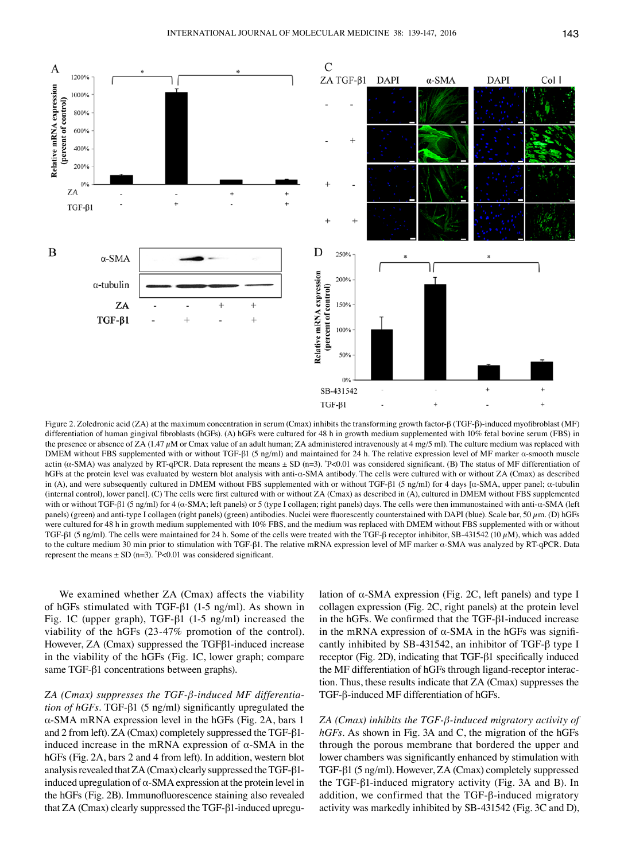

Figure 2. Zoledronic acid (ZA) at the maximum concentration in serum (Cmax) inhibits the transforming growth factor-β (TGF‑β)-induced myofibroblast (MF) differentiation of human gingival fibroblasts (hGFs). (A) hGFs were cultured for 48 h in growth medium supplemented with 10% fetal bovine serum (FBS) in the presence or absence of ZA (1.47  $\mu$ M or Cmax value of an adult human; ZA administered intravenously at 4 mg/5 ml). The culture medium was replaced with DMEM without FBS supplemented with or without TGF-β1 (5 ng/ml) and maintained for 24 h. The relative expression level of MF marker α-smooth muscle actin (α-SMA) was analyzed by RT-qPCR. Data represent the means ± SD (n=3). \*P<0.01 was considered significant. (B) The status of MF differentiation of hGFs at the protein level was evaluated by western blot analysis with anti-α-SMA antibody. The cells were cultured with or without ZA (Cmax) as described in (A), and were subsequently cultured in DMEM without FBS supplemented with or without TGF-β1 (5 ng/ml) for 4 days [α-SMA, upper panel; α-tubulin (internal control), lower panel]. (C) The cells were first cultured with or without ZA (Cmax) as described in (A), cultured in DMEM without FBS supplemented with or without TGF-β1 (5 ng/ml) for 4 (α-SMA; left panels) or 5 (type I collagen; right panels) days. The cells were then immunostained with anti-α-SMA (left panels) (green) and anti-type I collagen (right panels) (green) antibodies. Nuclei were fluorescently counterstained with DAPI (blue). Scale bar, 50  $\mu$ m. (D) hGFs were cultured for 48 h in growth medium supplemented with 10% FBS, and the medium was replaced with DMEM without FBS supplemented with or without TGF-β1 (5 ng/ml). The cells were maintained for 24 h. Some of the cells were treated with the TGF-β receptor inhibitor, SB-431542 (10  $\mu$ M), which was added to the culture medium 30 min prior to stimulation with TGF-β1. The relative mRNA expression level of MF marker α-SMA was analyzed by RT-qPCR. Data represent the means  $\pm$  SD (n=3).  $P<0.01$  was considered significant.

We examined whether ZA (Cmax) affects the viability of hGFs stimulated with TGF-β1 (1-5 ng/ml). As shown in Fig. 1C (upper graph), TGF-β1 (1-5 ng/ml) increased the viability of the hGFs (23-47% promotion of the control). However, ZA (Cmax) suppressed the TGFβ1-induced increase in the viability of the hGFs (Fig. 1C, lower graph; compare same TGF-β1 concentrations between graphs).

*ZA (Cmax) suppresses the TGF-β-induced MF differentiation of hGFs.* TGF-β1 (5 ng/ml) significantly upregulated the α-SMA mRNA expression level in the hGFs (Fig. 2A, bars 1 and 2 from left). ZA (Cmax) completely suppressed the TGF-β1 induced increase in the mRNA expression of α-SMA in the hGFs (Fig. 2A, bars 2 and 4 from left). In addition, western blot analysis revealed that ZA (Cmax) clearly suppressed the TGF-β1 induced upregulation of α-SMA expression at the protein level in the hGFs (Fig. 2B). Immunofluorescence staining also revealed that ZA (Cmax) clearly suppressed the TGF-β1-induced upregulation of  $\alpha$ -SMA expression (Fig. 2C, left panels) and type I collagen expression (Fig. 2C, right panels) at the protein level in the hGFs. We confirmed that the TGF‑β1-induced increase in the mRNA expression of  $α$ -SMA in the hGFs was significantly inhibited by SB-431542, an inhibitor of TGF-β type I receptor (Fig. 2D), indicating that TGF-β1 specifically induced the MF differentiation of hGFs through ligand-receptor interaction. Thus, these results indicate that ZA (Cmax) suppresses the TGF-β-induced MF differentiation of hGFs.

*ZA (Cmax) inhibits the TGF-β-induced migratory activity of hGFs.* As shown in Fig. 3A and C, the migration of the hGFs through the porous membrane that bordered the upper and lower chambers was significantly enhanced by stimulation with TGF-β1 (5 ng/ml). However, ZA (Cmax) completely suppressed the TGF-β1-induced migratory activity (Fig. 3A and B). In addition, we confirmed that the TGF-β-induced migratory activity was markedly inhibited by SB-431542 (Fig. 3C and D),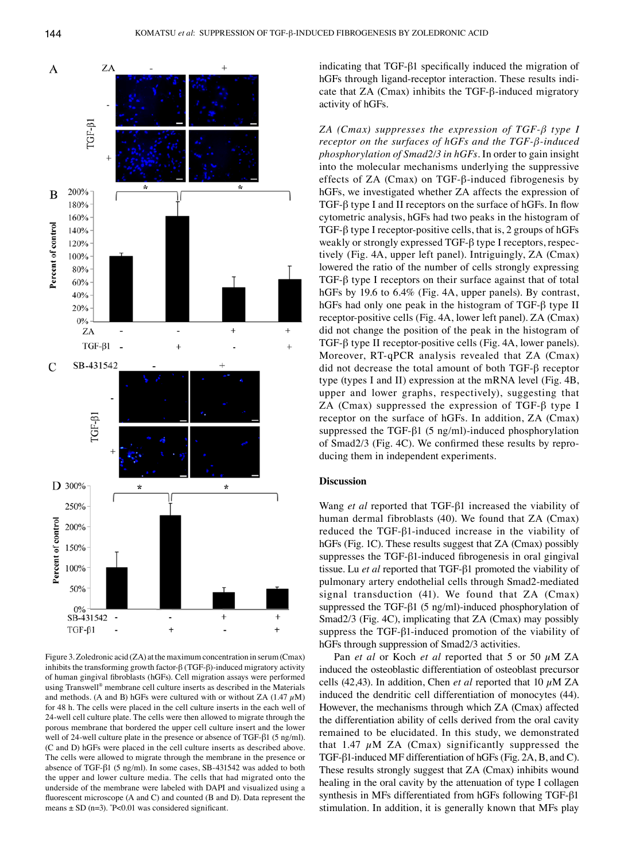

Figure 3. Zoledronic acid (ZA) at the maximum concentration in serum(Cmax) inhibits the transforming growth factor-β (TGF-β)-induced migratory activity of human gingival fibroblasts (hGFs). Cell migration assays were performed using Transwell® membrane cell culture inserts as described in the Materials and methods. (A and B) hGFs were cultured with or without ZA (1.47  $\mu$ M) for 48 h. The cells were placed in the cell culture inserts in the each well of 24-well cell culture plate. The cells were then allowed to migrate through the porous membrane that bordered the upper cell culture insert and the lower well of 24-well culture plate in the presence or absence of TGF‑β1 (5 ng/ml). (C and D) hGFs were placed in the cell culture inserts as described above. The cells were allowed to migrate through the membrane in the presence or absence of TGF‑β1 (5 ng/ml). In some cases, SB‑431542 was added to both the upper and lower culture media. The cells that had migrated onto the underside of the membrane were labeled with DAPI and visualized using a fluorescent microscope (A and C) and counted (B and D). Data represent the means  $\pm$  SD (n=3).  $\degree$ P<0.01 was considered significant.

indicating that TGF-β1 specifically induced the migration of hGFs through ligand-receptor interaction. These results indicate that ZA (Cmax) inhibits the TGF-β-induced migratory activity of hGFs.

*ZA (Cmax) suppresses the expression of TGF-β type I receptor on the surfaces of hGFs and the TGF-β-induced phosphorylation of Smad2/3 in hGFs.* In order to gain insight into the molecular mechanisms underlying the suppressive effects of ZA (Cmax) on TGF-β-induced fibrogenesis by hGFs, we investigated whether ZA affects the expression of TGF-β type I and II receptors on the surface of hGFs. In flow cytometric analysis, hGFs had two peaks in the histogram of TGF-β type I receptor-positive cells, that is, 2 groups of hGFs weakly or strongly expressed TGF-β type I receptors, respectively (Fig. 4A, upper left panel). Intriguingly, ZA (Cmax) lowered the ratio of the number of cells strongly expressing TGF-β type I receptors on their surface against that of total hGFs by 19.6 to 6.4% (Fig. 4A, upper panels). By contrast, hGFs had only one peak in the histogram of TGF-β type II receptor-positive cells (Fig. 4A, lower left panel). ZA (Cmax) did not change the position of the peak in the histogram of TGF-β type II receptor-positive cells (Fig. 4A, lower panels). Moreover, RT-qPCR analysis revealed that ZA (Cmax) did not decrease the total amount of both TGF-β receptor type (types I and II) expression at the mRNA level (Fig. 4B, upper and lower graphs, respectively), suggesting that ZA (Cmax) suppressed the expression of TGF-β type I receptor on the surface of hGFs. In addition, ZA (Cmax) suppressed the TGF-β1 (5 ng/ml)-induced phosphorylation of Smad2/3 (Fig. 4C). We confirmed these results by reproducing them in independent experiments.

# **Discussion**

Wang *et al* reported that TGF-β1 increased the viability of human dermal fibroblasts (40). We found that ZA (Cmax) reduced the TGF-β1-induced increase in the viability of hGFs (Fig. 1C). These results suggest that ZA (Cmax) possibly suppresses the TGF-β1-induced fibrogenesis in oral gingival tissue. Lu *et al* reported that TGF-β1 promoted the viability of pulmonary artery endothelial cells through Smad2-mediated signal transduction (41). We found that ZA (Cmax) suppressed the TGF-β1 (5 ng/ml)-induced phosphorylation of Smad2/3 (Fig. 4C), implicating that ZA (Cmax) may possibly suppress the TGF-β1-induced promotion of the viability of hGFs through suppression of Smad2/3 activities.

Pan *et al* or Koch *et al* reported that 5 or 50 µM ZA induced the osteoblastic differentiation of osteoblast precursor cells (42,43). In addition, Chen *et al* reported that 10 µM ZA induced the dendritic cell differentiation of monocytes (44). However, the mechanisms through which ZA (Cmax) affected the differentiation ability of cells derived from the oral cavity remained to be elucidated. In this study, we demonstrated that 1.47  $\mu$ M ZA (Cmax) significantly suppressed the TGF-β1-induced MF differentiation of hGFs (Fig. 2A, B, and C). These results strongly suggest that ZA (Cmax) inhibits wound healing in the oral cavity by the attenuation of type I collagen synthesis in MFs differentiated from hGFs following TGF-β1 stimulation. In addition, it is generally known that MFs play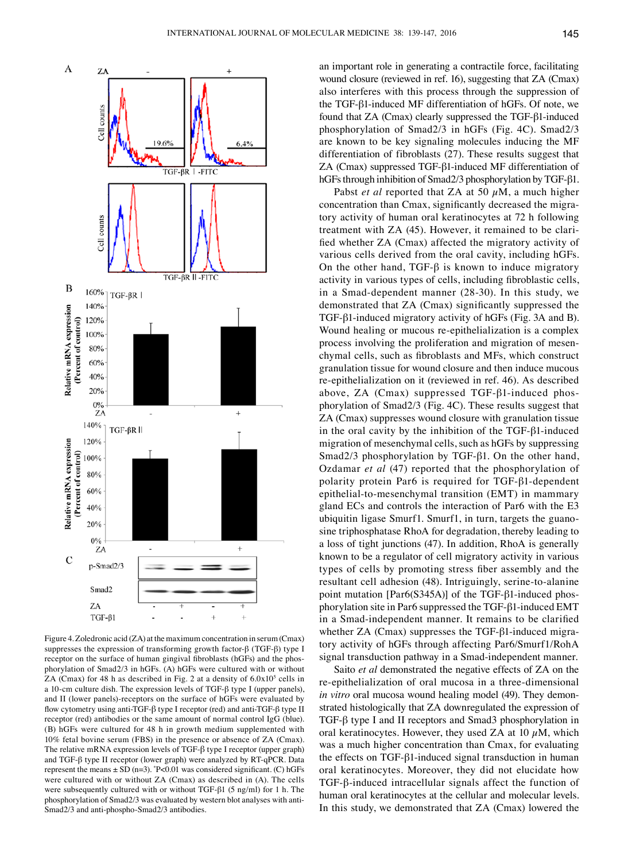

Figure 4. Zoledronic acid (ZA) at the maximum concentration in serum(Cmax) suppresses the expression of transforming growth factor-β (TGF-β) type I receptor on the surface of human gingival fibroblasts (hGFs) and the phosphorylation of Smad2/3 in hGFs. (A) hGFs were cultured with or without ZA (Cmax) for 48 h as described in Fig. 2 at a density of  $6.0x10<sup>5</sup>$  cells in a 10-cm culture dish. The expression levels of TGF-β type I (upper panels), and II (lower panels)-receptors on the surface of hGFs were evaluated by flow cytometry using anti-TGF‑β type I receptor (red) and anti-TGF‑β type II receptor (red) antibodies or the same amount of normal control IgG (blue). (B) hGFs were cultured for 48 h in growth medium supplemented with 10% fetal bovine serum (FBS) in the presence or absence of ZA (Cmax). The relative mRNA expression levels of TGF‑β type I receptor (upper graph) and TGF-β type II receptor (lower graph) were analyzed by RT-qPCR. Data represent the means  $\pm$  SD (n=3).  $P$ <0.01 was considered significant. (C) hGFs were cultured with or without ZA (Cmax) as described in (A). The cells were subsequently cultured with or without TGF-β1 (5 ng/ml) for 1 h. The phosphorylation of Smad2/3 was evaluated by western blot analyses with anti-Smad2/3 and anti-phospho-Smad2/3 antibodies.

an important role in generating a contractile force, facilitating wound closure (reviewed in ref. 16), suggesting that ZA (Cmax) also interferes with this process through the suppression of the TGF-β1-induced MF differentiation of hGFs. Of note, we found that ZA (Cmax) clearly suppressed the TGF-β1-induced phosphorylation of Smad2/3 in hGFs (Fig. 4C). Smad2/3 are known to be key signaling molecules inducing the MF differentiation of fibroblasts (27). These results suggest that ZA (Cmax) suppressed TGF-β1-induced MF differentiation of hGFs through inhibition of Smad2/3 phosphorylation by TGF-β1.

Pabst *et al* reported that ZA at 50  $\mu$ M, a much higher concentration than Cmax, significantly decreased the migratory activity of human oral keratinocytes at 72 h following treatment with ZA (45). However, it remained to be clarified whether ZA (Cmax) affected the migratory activity of various cells derived from the oral cavity, including hGFs. On the other hand, TGF- $\beta$  is known to induce migratory activity in various types of cells, including fibroblastic cells, in a Smad-dependent manner (28-30). In this study, we demonstrated that ZA (Cmax) significantly suppressed the TGF-β1-induced migratory activity of hGFs (Fig. 3A and B). Wound healing or mucous re-epithelialization is a complex process involving the proliferation and migration of mesenchymal cells, such as fibroblasts and MFs, which construct granulation tissue for wound closure and then induce mucous re-epithelialization on it (reviewed in ref. 46). As described above, ZA (Cmax) suppressed TGF-β1-induced phosphorylation of Smad2/3 (Fig. 4C). These results suggest that ZA (Cmax) suppresses wound closure with granulation tissue in the oral cavity by the inhibition of the TGF-β1-induced migration of mesenchymal cells, such as hGFs by suppressing Smad2/3 phosphorylation by TGF-β1. On the other hand, Ozdamar *et al* (47) reported that the phosphorylation of polarity protein Par6 is required for TGF-β1-dependent epithelial-to-mesenchymal transition (EMT) in mammary gland ECs and controls the interaction of Par6 with the E3 ubiquitin ligase Smurf1. Smurf1, in turn, targets the guanosine triphosphatase RhoA for degradation, thereby leading to a loss of tight junctions (47). In addition, RhoA is generally known to be a regulator of cell migratory activity in various types of cells by promoting stress fiber assembly and the resultant cell adhesion (48). Intriguingly, serine-to-alanine point mutation [Par6(S345A)] of the TGF-β1-induced phosphorylation site in Par6 suppressed the TGF-β1-induced EMT in a Smad-independent manner. It remains to be clarified whether ZA (Cmax) suppresses the TGF-β1-induced migratory activity of hGFs through affecting Par6/Smurf1/RohA signal transduction pathway in a Smad-independent manner.

Saito *et al* demonstrated the negative effects of ZA on the re-epithelialization of oral mucosa in a three-dimensional *in vitro* oral mucosa wound healing model (49). They demonstrated histologically that ZA downregulated the expression of TGF-β type I and II receptors and Smad3 phosphorylation in oral keratinocytes. However, they used ZA at 10  $\mu$ M, which was a much higher concentration than Cmax, for evaluating the effects on TGF-β1-induced signal transduction in human oral keratinocytes. Moreover, they did not elucidate how TGF-β-induced intracellular signals affect the function of human oral keratinocytes at the cellular and molecular levels. In this study, we demonstrated that ZA (Cmax) lowered the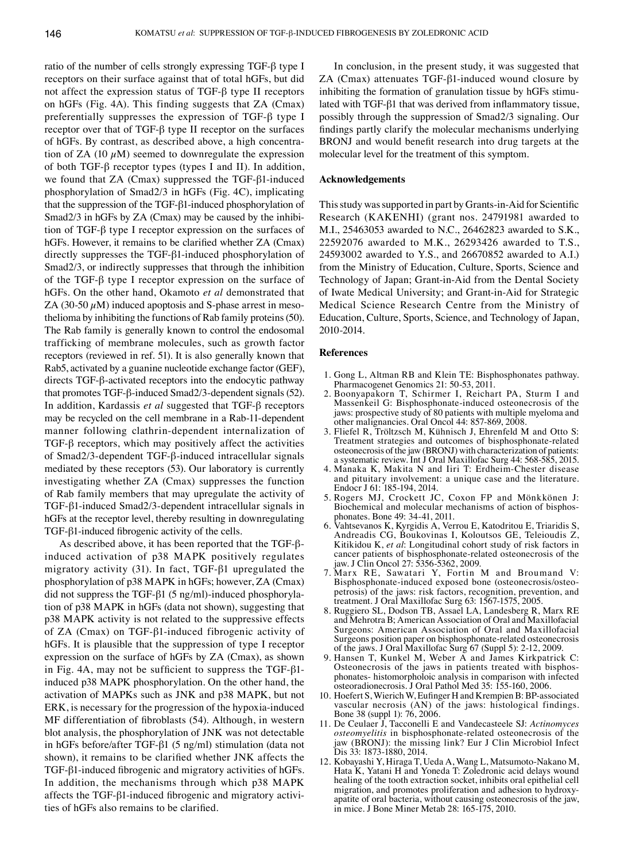ratio of the number of cells strongly expressing TGF-β type I receptors on their surface against that of total hGFs, but did not affect the expression status of TGF-β type II receptors on hGFs (Fig. 4A). This finding suggests that ZA (Cmax) preferentially suppresses the expression of TGF-β type I receptor over that of TGF-β type II receptor on the surfaces of hGFs. By contrast, as described above, a high concentration of ZA (10  $\mu$ M) seemed to downregulate the expression of both TGF-β receptor types (types I and II). In addition, we found that ZA (Cmax) suppressed the TGF-β1-induced phosphorylation of Smad2/3 in hGFs (Fig. 4C), implicating that the suppression of the TGF-β1-induced phosphorylation of Smad2/3 in hGFs by ZA (Cmax) may be caused by the inhibition of TGF-β type I receptor expression on the surfaces of hGFs. However, it remains to be clarified whether ZA (Cmax) directly suppresses the TGF-β1-induced phosphorylation of Smad2/3, or indirectly suppresses that through the inhibition of the TGF-β type I receptor expression on the surface of hGFs. On the other hand, Okamoto *et al* demonstrated that ZA (30-50  $\mu$ M) induced apoptosis and S-phase arrest in mesothelioma by inhibiting the functions of Rab family proteins(50). The Rab family is generally known to control the endosomal trafficking of membrane molecules, such as growth factor receptors (reviewed in ref. 51). It is also generally known that Rab5, activated by a guanine nucleotide exchange factor (GEF), directs TGF-β-activated receptors into the endocytic pathway that promotes TGF-β-induced Smad2/3-dependent signals (52). In addition, Kardassis *et al* suggested that TGF-β receptors may be recycled on the cell membrane in a Rab-11-dependent manner following clathrin-dependent internalization of TGF-β receptors, which may positively affect the activities of Smad2/3-dependent TGF-β-induced intracellular signals mediated by these receptors (53). Our laboratory is currently investigating whether ZA (Cmax) suppresses the function of Rab family members that may upregulate the activity of TGF-β1-induced Smad2/3-dependent intracellular signals in hGFs at the receptor level, thereby resulting in downregulating TGF-β1-induced fibrogenic activity of the cells.

As described above, it has been reported that the TGF-βinduced activation of p38 MAPK positively regulates migratory activity (31). In fact, TGF-β1 upregulated the phosphorylation of p38 MAPK in hGFs; however, ZA (Cmax) did not suppress the TGF-β1 (5 ng/ml)-induced phosphorylation of p38 MAPK in hGFs (data not shown), suggesting that p38 MAPK activity is not related to the suppressive effects of ZA (Cmax) on TGF-β1-induced fibrogenic activity of hGFs. It is plausible that the suppression of type I receptor expression on the surface of hGFs by ZA (Cmax), as shown in Fig. 4A, may not be sufficient to suppress the TGF- $\beta$ 1induced p38 MAPK phosphorylation. On the other hand, the activation of MAPKs such as JNK and p38 MAPK, but not ERK, is necessary for the progression of the hypoxia-induced MF differentiation of fibroblasts (54). Although, in western blot analysis, the phosphorylation of JNK was not detectable in hGFs before/after TGF-β1 (5 ng/ml) stimulation (data not shown), it remains to be clarified whether JNK affects the TGF-β1-induced fibrogenic and migratory activities of hGFs. In addition, the mechanisms through which p38 MAPK affects the TGF-β1-induced fibrogenic and migratory activities of hGFs also remains to be clarified.

In conclusion, in the present study, it was suggested that ZA (Cmax) attenuates TGF-β1-induced wound closure by inhibiting the formation of granulation tissue by hGFs stimulated with TGF-β1 that was derived from inflammatory tissue, possibly through the suppression of Smad2/3 signaling. Our findings partly clarify the molecular mechanisms underlying BRONJ and would benefit research into drug targets at the molecular level for the treatment of this symptom.

# **Acknowledgements**

This study was supported in part by Grants-in-Aid for Scientific Research (KAKENHI) (grant nos. 24791981 awarded to M.I., 25463053 awarded to N.C., 26462823 awarded to S.K., 22592076 awarded to M.K., 26293426 awarded to T.S., 24593002 awarded to Y.S., and 26670852 awarded to A.I.) from the Ministry of Education, Culture, Sports, Science and Technology of Japan; Grant-in-Aid from the Dental Society of Iwate Medical University; and Grant-in-Aid for Strategic Medical Science Research Centre from the Ministry of Education, Culture, Sports, Science, and Technology of Japan, 2010-2014.

#### **References**

- 1. Gong L, Altman RB and Klein TE: Bisphosphonates pathway. Pharmacogenet Genomics 21: 50-53, 2011.
- 2. Boonyapakorn T, Schirmer I, Reichart PA, Sturm I and Massenkeil G: Bisphosphonate-induced osteonecrosis of the jaws: prospective study of 80 patients with multiple myeloma and other malignancies. Oral Oncol 44: 857-869, 2008.
- 3. Fliefel R, Tröltzsch M, Kühnisch J, Ehrenfeld M and Otto S: Treatment strategies and outcomes of bisphosphonate-related osteonecrosis of the jaw (BRONJ) with characterization of patients: a systematic review. Int J Oral Maxillofac Surg 44: 568-585, 2015.
- 4. Manaka K, Makita N and Iiri T: Erdheim-Chester disease and pituitary involvement: a unique case and the literature. Endocr J 61: 185-194, 2014.
- 5. Rogers MJ, Crockett JC, Coxon FP and Mönkkönen J: Biochemical and molecular mechanisms of action of bisphosphonates. Bone 49: 34-41, 2011.
- 6. Vahtsevanos K, Kyrgidis A, Verrou E, Katodritou E, Triaridis S, Andreadis CG, Boukovinas I, Koloutsos GE, Teleioudis Z, Kitikidou K, *et al*: Longitudinal cohort study of risk factors in cancer patients of bisphosphonate-related osteonecrosis of the jaw. J Clin Oncol 27: 5356-5362, 2009.
- 7. Marx RE, Sawatari Y, Fortin M and Broumand V: petrosis) of the jaws: risk factors, recognition, prevention, and treatment. J Oral Maxillofac Surg 63: 1567-1575, 2005.
- 8. Ruggiero SL, Dodson TB, Assael LA, Landesberg R, Marx RE and Mehrotra B; American Association of Oral and Maxillofacial Surgeons: American Association of Oral and Maxillofacial Surgeons position paper on bisphosphonate-related osteonecrosis of the jaws. J Oral Maxillofac Surg 67 (Suppl 5): 2-12, 2009.
- 9. Hansen T, Kunkel M, Weber  $\overrightarrow{A}$  and James Kirkpatrick C: Osteonecrosis of the jaws in patients treated with bisphosphonates- histomorpholoic analysis in comparison with infected osteoradionecrosis. J Oral Pathol Med 35: 155-160, 2006.
- 10. Hoefert S, Wierich W, Eufinger H and Krempien B: BP-associated vascular necrosis (AN) of the jaws: histological findings. Bone 38 (suppl 1): 76, 2006.
- 11. De Ceulaer J, Tacconelli E and Vandecasteele SJ: *Actinomyces osteomyelitis* in bisphosphonate-related osteonecrosis of the jaw (BRONJ): the missing link? Eur J Clin Microbiol Infect Dis 33: 1873-1880, 2014.
- 12. Kobayashi Y, Hiraga T, Ueda A, Wang L, Matsumoto-Nakano M, Hata K, Yatani H and Yoneda T: Zoledronic acid delays wound healing of the tooth extraction socket, inhibits oral epithelial cell migration, and promotes proliferation and adhesion to hydroxyapatite of oral bacteria, without causing osteonecrosis of the jaw, in mice. J Bone Miner Metab 28: 165-175, 2010.